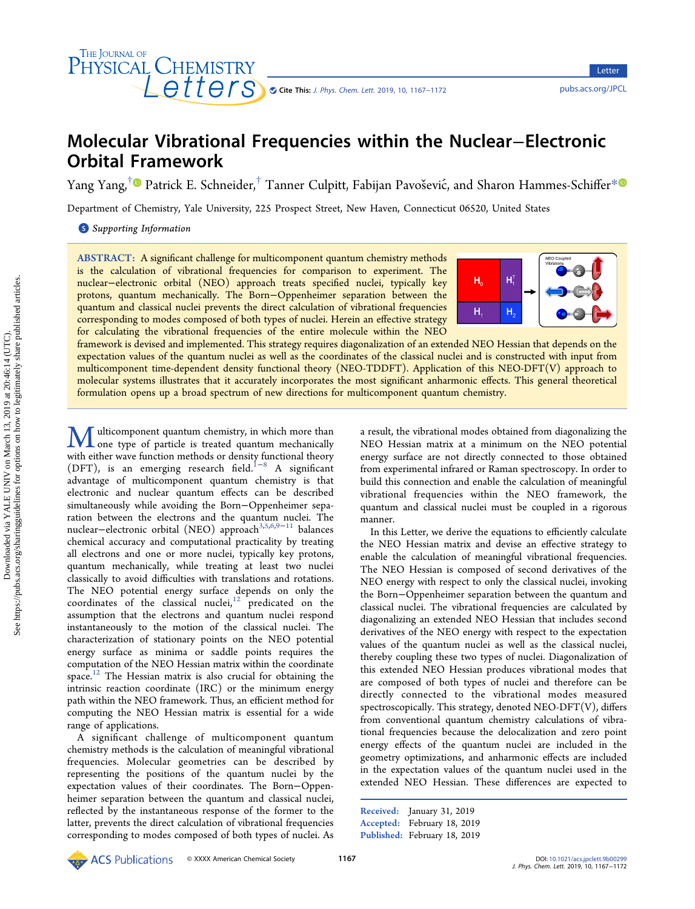# Molecular Vibrational Frequencies within the Nuclear−Electronic Orbital Framework

Yang Yang,<sup>[†](#page-4-0)</sup> Patrick E. Schneider,<sup>†</sup> Tanner Culpitt, Fabijan Pavošević, and Sharon Hammes-Schiffer<sup>[\\*](#page-4-0)</sup>

Department of Chemistry, Yale University, 225 Prospect Street, New Haven, Connecticut 06520, United States

**S** [Supporting Information](#page-4-0)

THE JOURNAL OF

PHYSICAL CHEMISTRY

ABSTRACT: A significant challenge for multicomponent quantum chemistry methods is the calculation of vibrational frequencies for comparison to experiment. The nuclear−electronic orbital (NEO) approach treats specified nuclei, typically key protons, quantum mechanically. The Born−Oppenheimer separation between the quantum and classical nuclei prevents the direct calculation of vibrational frequencies corresponding to modes composed of both types of nuclei. Herein an effective strategy for calculating the vibrational frequencies of the entire molecule within the NEO



framework is devised and implemented. This strategy requires diagonalization of an extended NEO Hessian that depends on the expectation values of the quantum nuclei as well as the coordinates of the classical nuclei and is constructed with input from multicomponent time-dependent density functional theory (NEO-TDDFT). Application of this NEO-DFT(V) approach to molecular systems illustrates that it accurately incorporates the most significant anharmonic effects. This general theoretical formulation opens up a broad spectrum of new directions for multicomponent quantum chemistry.

**M** ulticomponent quantum chemistry, in which more than one type of particle is treated quantum mechanically with either wave function methods or density functional theory (DFT), is an emerging research field.[1](#page-4-0)−[8](#page-4-0) A significant advantage of multicomponent quantum chemistry is that electronic and nuclear quantum effects can be described simultaneously while avoiding the Born−Oppenheimer separation between the electrons and the quantum nuclei. The nuclear-electronic orbital (NEO) approach<sup>3,5,6,9-[11](#page-5-0)</sup> balances chemical accuracy and computational practicality by treating all electrons and one or more nuclei, typically key protons, quantum mechanically, while treating at least two nuclei classically to avoid difficulties with translations and rotations. The NEO potential energy surface depends on only the coordinates of the classical nuclei, $12$  predicated on the assumption that the electrons and quantum nuclei respond instantaneously to the motion of the classical nuclei. The characterization of stationary points on the NEO potential energy surface as minima or saddle points requires the computation of the NEO Hessian matrix within the coordinate space.<sup>12</sup> The Hessian matrix is also crucial for obtaining the intrinsic reaction coordinate (IRC) or the minimum energy path within the NEO framework. Thus, an efficient method for computing the NEO Hessian matrix is essential for a wide range of applications.

A significant challenge of multicomponent quantum chemistry methods is the calculation of meaningful vibrational frequencies. Molecular geometries can be described by representing the positions of the quantum nuclei by the expectation values of their coordinates. The Born−Oppenheimer separation between the quantum and classical nuclei, reflected by the instantaneous response of the former to the latter, prevents the direct calculation of vibrational frequencies corresponding to modes composed of both types of nuclei. As a result, the vibrational modes obtained from diagonalizing the NEO Hessian matrix at a minimum on the NEO potential energy surface are not directly connected to those obtained from experimental infrared or Raman spectroscopy. In order to build this connection and enable the calculation of meaningful vibrational frequencies within the NEO framework, the quantum and classical nuclei must be coupled in a rigorous manner.

In this Letter, we derive the equations to efficiently calculate the NEO Hessian matrix and devise an effective strategy to enable the calculation of meaningful vibrational frequencies. The NEO Hessian is composed of second derivatives of the NEO energy with respect to only the classical nuclei, invoking the Born−Oppenheimer separation between the quantum and classical nuclei. The vibrational frequencies are calculated by diagonalizing an extended NEO Hessian that includes second derivatives of the NEO energy with respect to the expectation values of the quantum nuclei as well as the classical nuclei, thereby coupling these two types of nuclei. Diagonalization of this extended NEO Hessian produces vibrational modes that are composed of both types of nuclei and therefore can be directly connected to the vibrational modes measured spectroscopically. This strategy, denoted  $NEO-DFT(V)$ , differs from conventional quantum chemistry calculations of vibrational frequencies because the delocalization and zero point energy effects of the quantum nuclei are included in the geometry optimizations, and anharmonic effects are included in the expectation values of the quantum nuclei used in the extended NEO Hessian. These differences are expected to

Received: January 31, 2019 Accepted: February 18, 2019 Published: February 18, 2019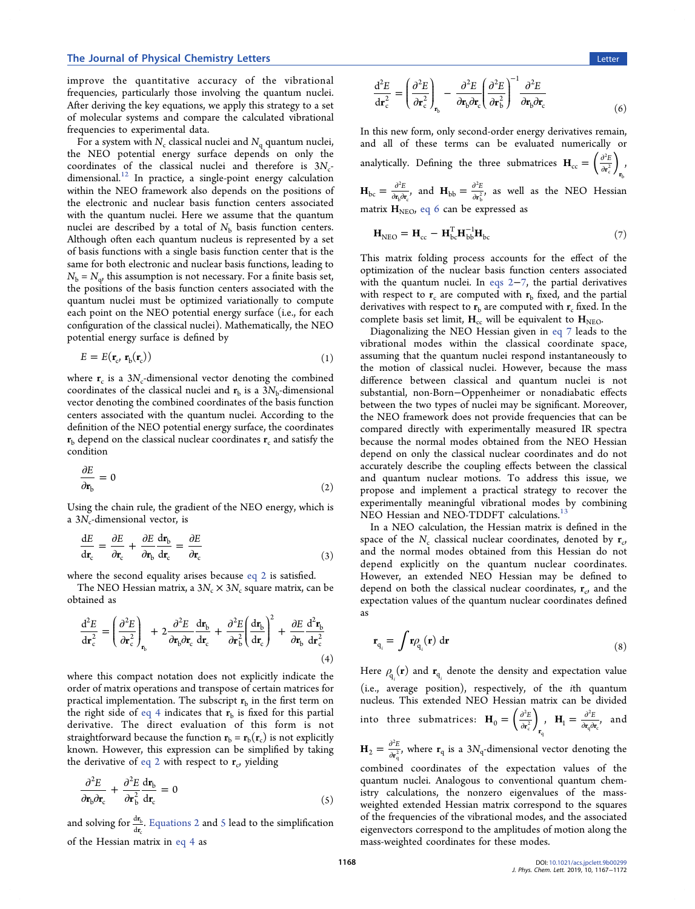#### <span id="page-1-0"></span>The Journal of Physical Chemistry Letters **Letters** Letters **Letters** Letter and the Letter Letter Letters Letters

improve the quantitative accuracy of the vibrational frequencies, particularly those involving the quantum nuclei. After deriving the key equations, we apply this strategy to a set of molecular systems and compare the calculated vibrational frequencies to experimental data.

For a system with  $N_c$  classical nuclei and  $N_a$  quantum nuclei, the NEO potential energy surface depends on only the coordinates of the classical nuclei and therefore is  $3N_c$ -dimensional.<sup>[12](#page-5-0)</sup> In practice, a single-point energy calculation within the NEO framework also depends on the positions of the electronic and nuclear basis function centers associated with the quantum nuclei. Here we assume that the quantum nuclei are described by a total of  $N<sub>b</sub>$  basis function centers. Although often each quantum nucleus is represented by a set of basis functions with a single basis function center that is the same for both electronic and nuclear basis functions, leading to  $N_b = N_a$ , this assumption is not necessary. For a finite basis set, the positions of the basis function centers associated with the quantum nuclei must be optimized variationally to compute each point on the NEO potential energy surface (i.e., for each configuration of the classical nuclei). Mathematically, the NEO potential energy surface is defined by

$$
E = E(\mathbf{r}_c, \mathbf{r}_b(\mathbf{r}_c))
$$
 (1)

where  $r_c$  is a 3N<sub>c</sub>-dimensional vector denoting the combined coordinates of the classical nuclei and  $r<sub>b</sub>$  is a  $3N<sub>b</sub>$ -dimensional vector denoting the combined coordinates of the basis function centers associated with the quantum nuclei. According to the definition of the NEO potential energy surface, the coordinates  $r<sub>b</sub>$  depend on the classical nuclear coordinates  $r<sub>c</sub>$  and satisfy the condition

$$
\frac{\partial E}{\partial \mathbf{r}_{\mathbf{b}}} = 0 \tag{2}
$$

Using the chain rule, the gradient of the NEO energy, which is a  $3N_c$ -dimensional vector, is

$$
\frac{dE}{dr_c} = \frac{\partial E}{\partial r_c} + \frac{\partial E}{\partial r_b} \frac{dr_b}{dr_c} = \frac{\partial E}{\partial r_c}
$$
\n(3)

where the second equality arises because eq 2 is satisfied.

The NEO Hessian matrix, a  $3N_c \times 3N_c$  square matrix, can be obtained as

$$
\frac{\mathrm{d}^2 E}{\mathrm{d} \mathbf{r}_c^2} = \left(\frac{\partial^2 E}{\partial \mathbf{r}_c^2}\right)_{\mathbf{r}_b} + 2\frac{\partial^2 E}{\partial \mathbf{r}_b \partial \mathbf{r}_c} \frac{\mathrm{d} \mathbf{r}_b}{\mathrm{d} \mathbf{r}_c} + \frac{\partial^2 E}{\partial \mathbf{r}_b^2} \left(\frac{\mathrm{d} \mathbf{r}_b}{\mathrm{d} \mathbf{r}_c}\right)^2 + \frac{\partial E}{\partial \mathbf{r}_b} \frac{\mathrm{d}^2 \mathbf{r}_b}{\mathrm{d} \mathbf{r}_c^2}
$$
\n(4)

where this compact notation does not explicitly indicate the order of matrix operations and transpose of certain matrices for practical implementation. The subscript  $r<sub>b</sub>$  in the first term on the right side of eq 4 indicates that  $r<sub>b</sub>$  is fixed for this partial derivative. The direct evaluation of this form is not straightforward because the function  $r_b = r_b(r_c)$  is not explicitly known. However, this expression can be simplified by taking the derivative of eq 2 with respect to  $\mathbf{r}_{o}$ , yielding

$$
\frac{\partial^2 E}{\partial \mathbf{r}_b \partial \mathbf{r}_c} + \frac{\partial^2 E}{\partial \mathbf{r}_b^2} \frac{d \mathbf{r}_b}{d \mathbf{r}_c} = 0
$$
\n(5)

and solving for  $\frac{d{\bf r}}{d{\bf r}}$ d  $rac{\mathbf{u}_b}{\mathbf{d}\mathbf{r}_c}$  $\frac{b}{c}$ . Equations 2 and 5 lead to the simplification of the Hessian matrix in eq 4 as

$$
\frac{\mathrm{d}^2 E}{\mathrm{d} \mathbf{r}_\mathrm{c}^2} = \left(\frac{\partial^2 E}{\partial \mathbf{r}_\mathrm{c}^2}\right)_{\mathbf{r}_\mathrm{b}} - \frac{\partial^2 E}{\partial \mathbf{r}_\mathrm{b} \partial \mathbf{r}_\mathrm{c}} \left(\frac{\partial^2 E}{\partial \mathbf{r}_\mathrm{b}^2}\right)^{-1} \frac{\partial^2 E}{\partial \mathbf{r}_\mathrm{b} \partial \mathbf{r}_\mathrm{c}} \tag{6}
$$

In this new form, only second-order energy derivatives remain, and all of these terms can be evaluated numerically or analytically. Defining the three submatrices  $\mathbf{H}_{cc} = \left(\frac{\partial^2 E}{\partial \mathbf{r}_c^2}\right)_\mathbf{r}$  $\mathsf{P}^2$  $=\left(\frac{\partial^2 E}{\partial \mathbf{r}_c^2}\right)_{\mathbf{r}},$ 

 $\mathbf{H}_{bc} = \frac{\partial^2 E}{\partial \mathbf{r}_b \partial \mathbf{r}_c}$ , and  $\mathbf{H}_{bb} = \frac{\partial^2 E}{\partial \mathbf{r}_b^2}$ , as well as the NEO Hessian 2  $=\frac{\partial^2 E}{\partial \mathbf{r}_b \partial \mathbf{r}_c}$ , and  $\mathbf{H}_{bb} = \frac{\partial^2 E}{\partial \mathbf{r}_b^2}$ 2  $= \frac{\partial^2 E}{\partial \mathbf{r}_b^2}$ , as well as the NEO Hessian matrix  $H<sub>NEO</sub>$ , eq 6 can be expressed as

$$
\mathbf{H}_{\text{NEO}} = \mathbf{H}_{\text{cc}} - \mathbf{H}_{\text{bc}}^{\text{T}} \mathbf{H}_{\text{bb}}^{-1} \mathbf{H}_{\text{bc}} \tag{7}
$$

This matrix folding process accounts for the effect of the optimization of the nuclear basis function centers associated with the quantum nuclei. In eqs 2−7, the partial derivatives with respect to  $r_c$  are computed with  $r_b$  fixed, and the partial derivatives with respect to  $r<sub>b</sub>$  are computed with  $r<sub>c</sub>$  fixed. In the complete basis set limit,  $H_{cc}$  will be equivalent to  $H_{\text{NEO}}$ .

Diagonalizing the NEO Hessian given in eq 7 leads to the vibrational modes within the classical coordinate space, assuming that the quantum nuclei respond instantaneously to the motion of classical nuclei. However, because the mass difference between classical and quantum nuclei is not substantial, non-Born−Oppenheimer or nonadiabatic effects between the two types of nuclei may be significant. Moreover, the NEO framework does not provide frequencies that can be compared directly with experimentally measured IR spectra because the normal modes obtained from the NEO Hessian depend on only the classical nuclear coordinates and do not accurately describe the coupling effects between the classical and quantum nuclear motions. To address this issue, we propose and implement a practical strategy to recover the experimentally meaningful vibrational modes by combining NEO Hessian and NEO-TDDFT calculations.<sup>1</sup>

In a NEO calculation, the Hessian matrix is defined in the space of the  $N_c$  classical nuclear coordinates, denoted by  $r_c$ , and the normal modes obtained from this Hessian do not depend explicitly on the quantum nuclear coordinates. However, an extended NEO Hessian may be defined to depend on both the classical nuclear coordinates,  $\mathbf{r}_o$  and the expectation values of the quantum nuclear coordinates defined as

$$
\mathbf{r}_{q_i} = \int \mathbf{r} \rho_{q_i}(\mathbf{r}) \, \mathrm{d}\mathbf{r} \tag{8}
$$

Here  $\rho_{\mathbf{q}_i}(\mathbf{r})$  and  $\mathbf{r}_{\mathbf{q}_i}$  denote the density and expectation value (i.e., average position), respectively, of the ith quantum nucleus. This extended NEO Hessian matrix can be divided into three submatrices:  $\mathbf{H}_0 = \left(\frac{\partial^2 E}{\partial r_c^2}\right)_1$ 2  $\frac{2}{c}$ q  $=\left(\frac{\partial^2 E}{\partial \mathbf{r}_c^2}\right)$ ,  $\mathbf{H}_1=\frac{\partial^2 E}{\partial \mathbf{r}_a \partial \mathbf{r}}$ 2  $=\frac{\partial^2 E}{\partial \mathbf{r}_q \partial \mathbf{r}_s}$ , and  $\mathbf{H}_2 = \frac{\partial^2 E}{\partial \mathbf{r}_q^2}$ 2  $=\frac{\partial^2 E}{\partial \mathbf{r}_q^2}$ , where  $\mathbf{r}_q$  is a  $3N_q$ -dimensional vector denoting the

combined coordinates of the expectation values of the quantum nuclei. Analogous to conventional quantum chemistry calculations, the nonzero eigenvalues of the massweighted extended Hessian matrix correspond to the squares of the frequencies of the vibrational modes, and the associated eigenvectors correspond to the amplitudes of motion along the mass-weighted coordinates for these modes.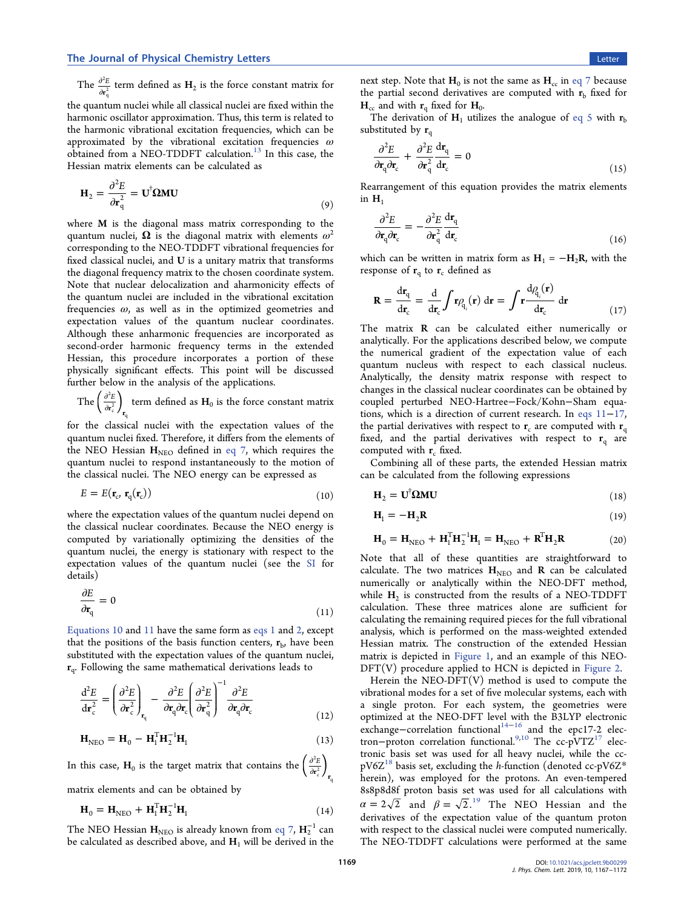<span id="page-2-0"></span>The  $\frac{\partial^2 E}{\partial \mathbf{r}_q^2}$ 2  $\frac{\partial^2 F}{\partial \mathbf{r}_q^2}$  $\frac{\partial^2 E}{\partial r_\mathrm{q}^2}$  term defined as  $\mathrm{H}_2$  is the force constant matrix for

the quantum nuclei while all classical nuclei are fixed within the harmonic oscillator approximation. Thus, this term is related to the harmonic vibrational excitation frequencies, which can be approximated by the vibrational excitation frequencies  $\omega$ obtained from a NEO-TDDFT calculation[.13](#page-5-0) In this case, the Hessian matrix elements can be calculated as

$$
\mathbf{H}_2 = \frac{\partial^2 E}{\partial \mathbf{r}_q^2} = \mathbf{U}^\dagger \mathbf{\Omega} \mathbf{M} \mathbf{U}
$$
\n(9)

where M is the diagonal mass matrix corresponding to the quantum nuclei,  $\Omega$  is the diagonal matrix with elements  $\omega^2$ corresponding to the NEO-TDDFT vibrational frequencies for fixed classical nuclei, and U is a unitary matrix that transforms the diagonal frequency matrix to the chosen coordinate system. Note that nuclear delocalization and aharmonicity effects of the quantum nuclei are included in the vibrational excitation frequencies  $\omega$ , as well as in the optimized geometries and expectation values of the quantum nuclear coordinates. Although these anharmonic frequencies are incorporated as second-order harmonic frequency terms in the extended Hessian, this procedure incorporates a portion of these physically significant effects. This point will be discussed further below in the analysis of the applications.

The 
$$
\left(\frac{\partial^2 E}{\partial \mathbf{r}_c^2}\right)_{\mathbf{r}_q}
$$
 term defined as  $\mathbf{H}_0$  is the force constant matrix

for the classical nuclei with the expectation values of the quantum nuclei fixed. Therefore, it differs from the elements of the NEO Hessian  $H_{\text{NEO}}$  defined in [eq 7](#page-1-0), which requires the quantum nuclei to respond instantaneously to the motion of the classical nuclei. The NEO energy can be expressed as

$$
E = E(\mathbf{r}_c, \mathbf{r}_q(\mathbf{r}_c))
$$
\n(10)

where the expectation values of the quantum nuclei depend on the classical nuclear coordinates. Because the NEO energy is computed by variationally optimizing the densities of the quantum nuclei, the energy is stationary with respect to the expectation values of the quantum nuclei (see the [SI](http://pubs.acs.org/doi/suppl/10.1021/acs.jpclett.9b00299/suppl_file/jz9b00299_si_001.pdf) for details)

$$
\frac{\partial E}{\partial \mathbf{r}_q} = 0 \tag{11}
$$

Equations 10 and 11 have the same form as [eqs 1](#page-1-0) and [2,](#page-1-0) except that the positions of the basis function centers,  $\mathbf{r}_{\rm b}$ , have been substituted with the expectation values of the quantum nuclei,  $r_q$ . Following the same mathematical derivations leads to

$$
\frac{\mathrm{d}^2 E}{\mathrm{d} \mathbf{r}_c^2} = \left(\frac{\partial^2 E}{\partial \mathbf{r}_c^2}\right)_{\mathbf{r}_q} - \frac{\partial^2 E}{\partial \mathbf{r}_q \partial \mathbf{r}_c} \left(\frac{\partial^2 E}{\partial \mathbf{r}_q^2}\right)^{-1} \frac{\partial^2 E}{\partial \mathbf{r}_q \partial \mathbf{r}_c}
$$
(12)

$$
\mathbf{H}_{\text{NEO}} = \mathbf{H}_0 - \mathbf{H}_1^{\text{T}} \mathbf{H}_2^{-1} \mathbf{H}_1
$$
\n(13)

In this case,  $H_0$  is the target matrix that contains the  $\left(\frac{\partial^2 E}{\partial r_c^2}\right)$ ∂ ∂

matrix elements and can be obtained by

$$
\mathbf{H}_0 = \mathbf{H}_{\text{NEO}} + \mathbf{H}_1^{\text{T}} \mathbf{H}_2^{-1} \mathbf{H}_1
$$
 (14)

The NEO Hessian  $\mathbf{H}_{\text{NEO}}$  is already known from [eq 7](#page-1-0),  $\mathbf{H}_2^{-1}$  can be calculated as described above, and  $H_1$  will be derived in the next step. Note that  $H_0$  is not the same as  $H_{cc}$  in [eq 7](#page-1-0) because the partial second derivatives are computed with  $r<sub>b</sub>$  fixed for  $H_{cc}$  and with  $r_a$  fixed for  $H_0$ .

The derivation of  $H_1$  utilizes the analogue of [eq 5](#page-1-0) with  $r_b$ substituted by  $r_q$ 

$$
\frac{\partial^2 E}{\partial \mathbf{r}_q \partial \mathbf{r}_c} + \frac{\partial^2 E}{\partial \mathbf{r}_q^2} \frac{d \mathbf{r}_q}{d \mathbf{r}_c} = 0
$$
\n(15)

Rearrangement of this equation provides the matrix elements in  $H_1$ 

$$
\frac{\partial^2 E}{\partial \mathbf{r}_q \partial \mathbf{r}_c} = -\frac{\partial^2 E}{\partial \mathbf{r}_q^2} \frac{d \mathbf{r}_q}{d \mathbf{r}_c}
$$
(16)

which can be written in matrix form as  $H_1 = -H_2R$ , with the response of  $r_q$  to  $r_c$  defined as

$$
\mathbf{R} = \frac{d\mathbf{r}_q}{d\mathbf{r}_c} = \frac{d}{d\mathbf{r}_c} \int \mathbf{r} \rho_q(\mathbf{r}) \, d\mathbf{r} = \int \mathbf{r} \frac{d\rho_q(\mathbf{r})}{d\mathbf{r}_c} \, d\mathbf{r}
$$
 (17)

The matrix **R** can be calculated either numerically or analytically. For the applications described below, we compute the numerical gradient of the expectation value of each quantum nucleus with respect to each classical nucleus. Analytically, the density matrix response with respect to changes in the classical nuclear coordinates can be obtained by coupled perturbed NEO-Hartree−Fock/Kohn−Sham equations, which is a direction of current research. In eqs 11−17, the partial derivatives with respect to  $\mathbf{r}_c$  are computed with  $\mathbf{r}_a$ fixed, and the partial derivatives with respect to  $r_q$  are computed with  $r_c$  fixed.

Combining all of these parts, the extended Hessian matrix can be calculated from the following expressions

$$
\mathbf{H}_2 = \mathbf{U}^\dagger \mathbf{\Omega} \mathbf{M} \mathbf{U} \tag{18}
$$

$$
\mathbf{H}_1 = -\mathbf{H}_2 \mathbf{R} \tag{19}
$$

$$
\mathbf{H}_0 = \mathbf{H}_{\text{NEO}} + \mathbf{H}_1^{\text{T}} \mathbf{H}_2^{-1} \mathbf{H}_1 = \mathbf{H}_{\text{NEO}} + \mathbf{R}^{\text{T}} \mathbf{H}_2 \mathbf{R}
$$
 (20)

Note that all of these quantities are straightforward to calculate. The two matrices  $H_{\text{NEO}}$  and R can be calculated numerically or analytically within the NEO-DFT method, while  $H_2$  is constructed from the results of a NEO-TDDFT calculation. These three matrices alone are sufficient for calculating the remaining required pieces for the full vibrational analysis, which is performed on the mass-weighted extended Hessian matrix. The construction of the extended Hessian matrix is depicted in [Figure 1,](#page-3-0) and an example of this NEO- $DFT(V)$  procedure applied to HCN is depicted in [Figure 2](#page-3-0).

Herein the NEO-DFT $(V)$  method is used to compute the vibrational modes for a set of five molecular systems, each with a single proton. For each system, the geometries were optimized at the NEO-DFT level with the B3LYP electronic exchange-correlation functional<sup>[14](#page-5-0)-[16](#page-5-0)</sup> and the epc17-2 elec-tron−proton correlation functional.<sup>[9](#page-4-0),[10](#page-5-0)</sup> The cc-pVTZ<sup>17</sup> electronic basis set was used for all heavy nuclei, while the cc- $pV6Z^{18}$  $pV6Z^{18}$  $pV6Z^{18}$  basis set, excluding the *h*-function (denoted cc-pV6Z\* herein), was employed for the protons. An even-tempered 8s8p8d8f proton basis set was used for all calculations with  $\alpha = 2\sqrt{2}$  and  $\beta = \sqrt{2}$ .<sup>[19](#page-5-0)</sup> The NEO Hessian and the derivatives of the expectation value of the quantum proton with respect to the classical nuclei were computed numerically. The NEO-TDDFT calculations were performed at the same

 $\mathbf{r}_{\rm c}^2$  /<sub>r</sub> 2 c 2 q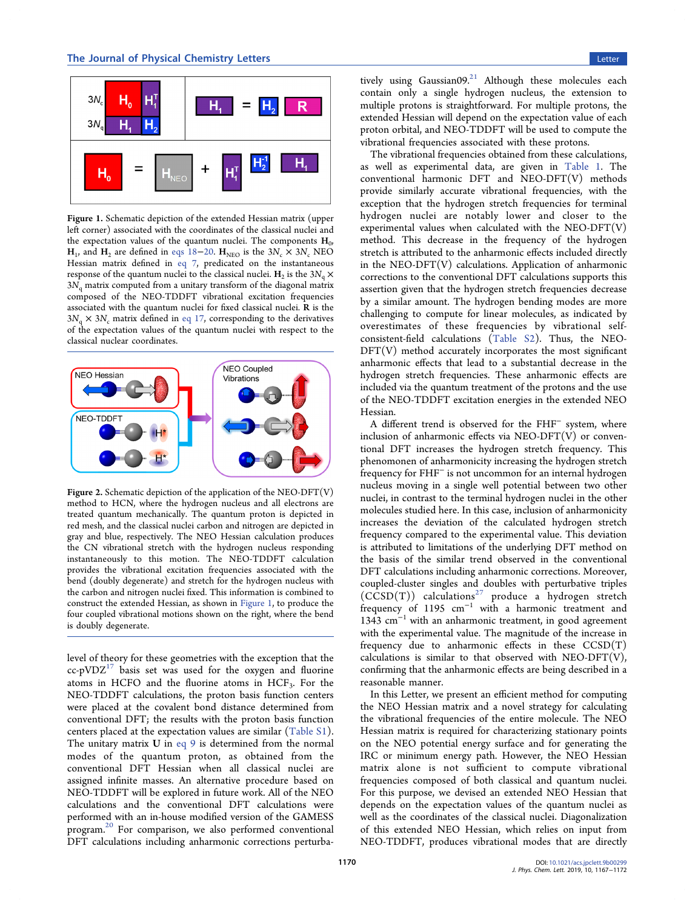<span id="page-3-0"></span>

Figure 1. Schematic depiction of the extended Hessian matrix (upper left corner) associated with the coordinates of the classical nuclei and the expectation values of the quantum nuclei. The components  $H_0$ , H<sub>1</sub>, and H<sub>2</sub> are defined in [eqs 18](#page-2-0)–[20](#page-2-0). H<sub>NEO</sub> is the 3N<sub>c</sub>  $\times$  3N<sub>c</sub> NEO Hessian matrix defined in [eq 7](#page-1-0), predicated on the instantaneous response of the quantum nuclei to the classical nuclei.  $H_2$  is the 3N<sub>o</sub>  $\times$  $3N<sub>o</sub>$  matrix computed from a unitary transform of the diagonal matrix composed of the NEO-TDDFT vibrational excitation frequencies associated with the quantum nuclei for fixed classical nuclei. R is the  $3N_a \times 3N_c$  matrix defined in [eq 17,](#page-2-0) corresponding to the derivatives of the expectation values of the quantum nuclei with respect to the classical nuclear coordinates.



Figure 2. Schematic depiction of the application of the NEO-DFT $(V)$ method to HCN, where the hydrogen nucleus and all electrons are treated quantum mechanically. The quantum proton is depicted in red mesh, and the classical nuclei carbon and nitrogen are depicted in gray and blue, respectively. The NEO Hessian calculation produces the CN vibrational stretch with the hydrogen nucleus responding instantaneously to this motion. The NEO-TDDFT calculation provides the vibrational excitation frequencies associated with the bend (doubly degenerate) and stretch for the hydrogen nucleus with the carbon and nitrogen nuclei fixed. This information is combined to construct the extended Hessian, as shown in Figure 1, to produce the four coupled vibrational motions shown on the right, where the bend is doubly degenerate.

level of theory for these geometries with the exception that the  $cc$ -pVD $Z^{17}$  $Z^{17}$  $Z^{17}$  basis set was used for the oxygen and fluorine atoms in HCFO and the fluorine atoms in  $HCF_3$ . For the NEO-TDDFT calculations, the proton basis function centers were placed at the covalent bond distance determined from conventional DFT; the results with the proton basis function centers placed at the expectation values are similar [\(Table S1](http://pubs.acs.org/doi/suppl/10.1021/acs.jpclett.9b00299/suppl_file/jz9b00299_si_001.pdf)). The unitary matrix  $U$  in [eq 9](#page-2-0) is determined from the normal modes of the quantum proton, as obtained from the conventional DFT Hessian when all classical nuclei are assigned infinite masses. An alternative procedure based on NEO-TDDFT will be explored in future work. All of the NEO calculations and the conventional DFT calculations were performed with an in-house modified version of the GAMESS program.<sup>[20](#page-5-0)</sup> For comparison, we also performed conventional DFT calculations including anharmonic corrections perturbatively using Gaussian09.<sup>[21](#page-5-0)</sup> Although these molecules each contain only a single hydrogen nucleus, the extension to multiple protons is straightforward. For multiple protons, the extended Hessian will depend on the expectation value of each proton orbital, and NEO-TDDFT will be used to compute the vibrational frequencies associated with these protons.

The vibrational frequencies obtained from these calculations, as well as experimental data, are given in [Table 1.](#page-4-0) The conventional harmonic DFT and NEO-DFT(V) methods provide similarly accurate vibrational frequencies, with the exception that the hydrogen stretch frequencies for terminal hydrogen nuclei are notably lower and closer to the experimental values when calculated with the NEO-DFT $(V)$ method. This decrease in the frequency of the hydrogen stretch is attributed to the anharmonic effects included directly in the NEO-DFT $(V)$  calculations. Application of anharmonic corrections to the conventional DFT calculations supports this assertion given that the hydrogen stretch frequencies decrease by a similar amount. The hydrogen bending modes are more challenging to compute for linear molecules, as indicated by overestimates of these frequencies by vibrational selfconsistent-field calculations ([Table S2\)](http://pubs.acs.org/doi/suppl/10.1021/acs.jpclett.9b00299/suppl_file/jz9b00299_si_001.pdf). Thus, the NEO- $DFT(V)$  method accurately incorporates the most significant anharmonic effects that lead to a substantial decrease in the hydrogen stretch frequencies. These anharmonic effects are included via the quantum treatment of the protons and the use of the NEO-TDDFT excitation energies in the extended NEO Hessian.

A different trend is observed for the FHF<sup>−</sup> system, where inclusion of anharmonic effects via NEO-DFT $(V)$  or conventional DFT increases the hydrogen stretch frequency. This phenomonen of anharmonicity increasing the hydrogen stretch frequency for FHF<sup>−</sup> is not uncommon for an internal hydrogen nucleus moving in a single well potential between two other nuclei, in contrast to the terminal hydrogen nuclei in the other molecules studied here. In this case, inclusion of anharmonicity increases the deviation of the calculated hydrogen stretch frequency compared to the experimental value. This deviation is attributed to limitations of the underlying DFT method on the basis of the similar trend observed in the conventional DFT calculations including anharmonic corrections. Moreover, coupled-cluster singles and doubles with perturbative triples  $(CCSD(T))$  calculations<sup>[27](#page-5-0)</sup> produce a hydrogen stretch frequency of  $1195$  cm<sup>-1</sup> with a harmonic treatment and 1343 cm<sup>−</sup><sup>1</sup> with an anharmonic treatment, in good agreement with the experimental value. The magnitude of the increase in frequency due to anharmonic effects in these CCSD(T) calculations is similar to that observed with NEO-DFT(V), confirming that the anharmonic effects are being described in a reasonable manner.

In this Letter, we present an efficient method for computing the NEO Hessian matrix and a novel strategy for calculating the vibrational frequencies of the entire molecule. The NEO Hessian matrix is required for characterizing stationary points on the NEO potential energy surface and for generating the IRC or minimum energy path. However, the NEO Hessian matrix alone is not sufficient to compute vibrational frequencies composed of both classical and quantum nuclei. For this purpose, we devised an extended NEO Hessian that depends on the expectation values of the quantum nuclei as well as the coordinates of the classical nuclei. Diagonalization of this extended NEO Hessian, which relies on input from NEO-TDDFT, produces vibrational modes that are directly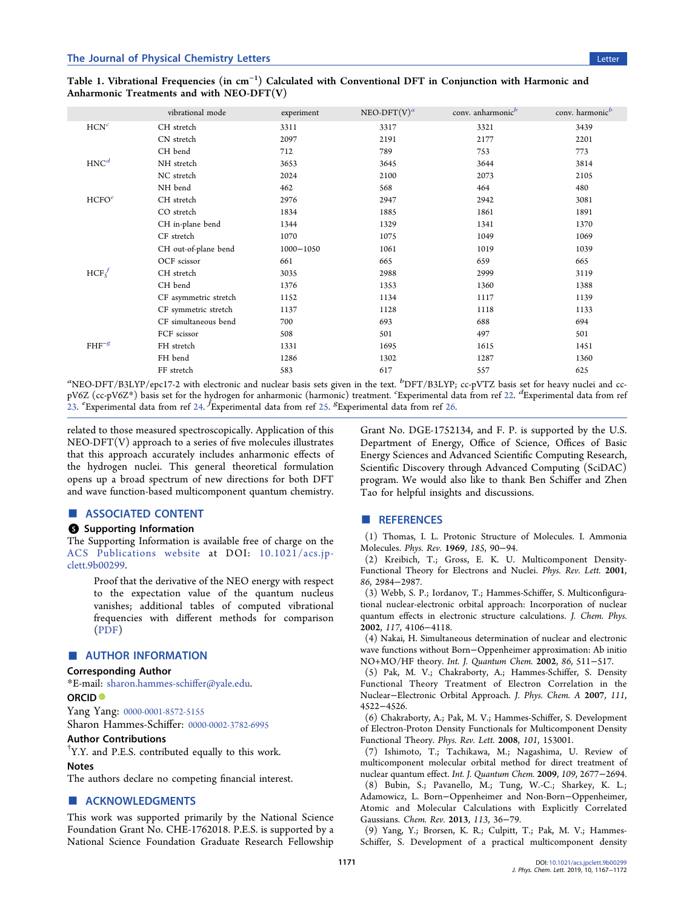<span id="page-4-0"></span>Table 1. Vibrational Frequencies (in cm<sup>−</sup><sup>1</sup> ) Calculated with Conventional DFT in Conjunction with Harmonic and Anharmonic Treatments and with NEO-DFT(V)

|                   | vibrational mode      | experiment    | $NEO-DFT(V)^{a}$ | conv. anharmonic <sup>b</sup> | conv. harmonic <sup>b</sup> |
|-------------------|-----------------------|---------------|------------------|-------------------------------|-----------------------------|
| HCN <sup>c</sup>  | CH stretch            | 3311          | 3317             | 3321                          | 3439                        |
|                   | CN stretch            | 2097          | 2191             | 2177                          | 2201                        |
|                   | CH bend               | 712           | 789              | 753                           | 773                         |
| HNC <sup>d</sup>  | NH stretch            | 3653          | 3645             | 3644                          | 3814                        |
|                   | NC stretch            | 2024          | 2100             | 2073                          | 2105                        |
|                   | NH bend               | 462           | 568              | 464                           | 480                         |
| HCFO <sup>e</sup> | CH stretch            | 2976          | 2947             | 2942                          | 3081                        |
|                   | CO stretch            | 1834          | 1885             | 1861                          | 1891                        |
|                   | CH in-plane bend      | 1344          | 1329             | 1341                          | 1370                        |
|                   | CF stretch            | 1070          | 1075             | 1049                          | 1069                        |
|                   | CH out-of-plane bend  | $1000 - 1050$ | 1061             | 1019                          | 1039                        |
|                   | OCF scissor           | 661           | 665              | 659                           | 665                         |
| $HCF_3^f$         | CH stretch            | 3035          | 2988             | 2999                          | 3119                        |
|                   | CH bend               | 1376          | 1353             | 1360                          | 1388                        |
|                   | CF asymmetric stretch | 1152          | 1134             | 1117                          | 1139                        |
|                   | CF symmetric stretch  | 1137          | 1128             | 1118                          | 1133                        |
|                   | CF simultaneous bend  | 700           | 693              | 688                           | 694                         |
|                   | FCF scissor           | 508           | 501              | 497                           | 501                         |
| $FHF^{-g}$        | FH stretch            | 1331          | 1695             | 1615                          | 1451                        |
|                   | FH bend               | 1286          | 1302             | 1287                          | 1360                        |
|                   | FF stretch            | 583           | 617              | 557                           | 625                         |

 $^a$ NEO-DFT/B3LYP/epc17-2 with electronic and nuclear basis sets given in the text.  $^b$ DFT/B3LYP; cc-pVTZ basis set for heavy nuclei and cc-pV6Z (cc-pV6Z\*) basis set for the hydrogen for anharmonic (harmonic) treatment. Experimental data from ref [22.](#page-5-0) dExperimental data from ref 20. [23](#page-5-0). Experimental data from ref [24.](#page-5-0) Experimental data from ref [25.](#page-5-0) Experimental data from ref [26.](#page-5-0)

related to those measured spectroscopically. Application of this  $NEO-DFT(V)$  approach to a series of five molecules illustrates that this approach accurately includes anharmonic effects of the hydrogen nuclei. This general theoretical formulation opens up a broad spectrum of new directions for both DFT and wave function-based multicomponent quantum chemistry.

### ■ ASSOCIATED CONTENT

#### **6** Supporting Information

The Supporting Information is available free of charge on the [ACS Publications website](http://pubs.acs.org) at DOI: [10.1021/acs.jp](http://pubs.acs.org/doi/abs/10.1021/acs.jpclett.9b00299)[clett.9b00299](http://pubs.acs.org/doi/abs/10.1021/acs.jpclett.9b00299).

Proof that the derivative of the NEO energy with respect to the expectation value of the quantum nucleus vanishes; additional tables of computed vibrational frequencies with different methods for comparison [\(PDF](http://pubs.acs.org/doi/suppl/10.1021/acs.jpclett.9b00299/suppl_file/jz9b00299_si_001.pdf))

# ■ AUTHOR INFORMATION

#### Corresponding Author

\*E-mail: [sharon.hammes-schi](mailto:sharon.hammes-schiffer@yale.edu)ffer@yale.edu.

# ORCID<sup>®</sup>

Yang Yang: [0000-0001-8572-5155](http://orcid.org/0000-0001-8572-5155)

Sharon Hammes-Schiffer: [0000-0002-3782-6995](http://orcid.org/0000-0002-3782-6995)

# Author Contributions

† Y.Y. and P.E.S. contributed equally to this work.

#### Notes

The authors declare no competing financial interest.

#### ■ ACKNOWLEDGMENTS

This work was supported primarily by the National Science Foundation Grant No. CHE-1762018. P.E.S. is supported by a National Science Foundation Graduate Research Fellowship

Grant No. DGE-1752134, and F. P. is supported by the U.S. Department of Energy, Office of Science, Offices of Basic Energy Sciences and Advanced Scientific Computing Research, Scientific Discovery through Advanced Computing (SciDAC) program. We would also like to thank Ben Schiffer and Zhen Tao for helpful insights and discussions.

# ■ REFERENCES

(1) Thomas, I. L. Protonic Structure of Molecules. I. Ammonia Molecules. Phys. Rev. 1969, 185, 90−94.

(2) Kreibich, T.; Gross, E. K. U. Multicomponent Density-Functional Theory for Electrons and Nuclei. Phys. Rev. Lett. 2001, 86, 2984−2987.

(3) Webb, S. P.; Iordanov, T.; Hammes-Schiffer, S. Multiconfigurational nuclear-electronic orbital approach: Incorporation of nuclear quantum effects in electronic structure calculations. J. Chem. Phys. 2002, 117, 4106−4118.

(4) Nakai, H. Simultaneous determination of nuclear and electronic wave functions without Born−Oppenheimer approximation: Ab initio NO+MO/HF theory. Int. J. Quantum Chem. 2002, 86, 511−517.

(5) Pak, M. V.; Chakraborty, A.; Hammes-Schiffer, S. Density Functional Theory Treatment of Electron Correlation in the Nuclear−Electronic Orbital Approach. J. Phys. Chem. A 2007, 111, 4522−4526.

(6) Chakraborty, A.; Pak, M. V.; Hammes-Schiffer, S. Development of Electron-Proton Density Functionals for Multicomponent Density Functional Theory. Phys. Rev. Lett. 2008, 101, 153001.

(7) Ishimoto, T.; Tachikawa, M.; Nagashima, U. Review of multicomponent molecular orbital method for direct treatment of nuclear quantum effect. Int. J. Quantum Chem. 2009, 109, 2677−2694.

(8) Bubin, S.; Pavanello, M.; Tung, W.-C.; Sharkey, K. L.; Adamowicz, L. Born−Oppenheimer and Non-Born−Oppenheimer, Atomic and Molecular Calculations with Explicitly Correlated Gaussians. Chem. Rev. 2013, 113, 36−79.

(9) Yang, Y.; Brorsen, K. R.; Culpitt, T.; Pak, M. V.; Hammes-Schiffer, S. Development of a practical multicomponent density